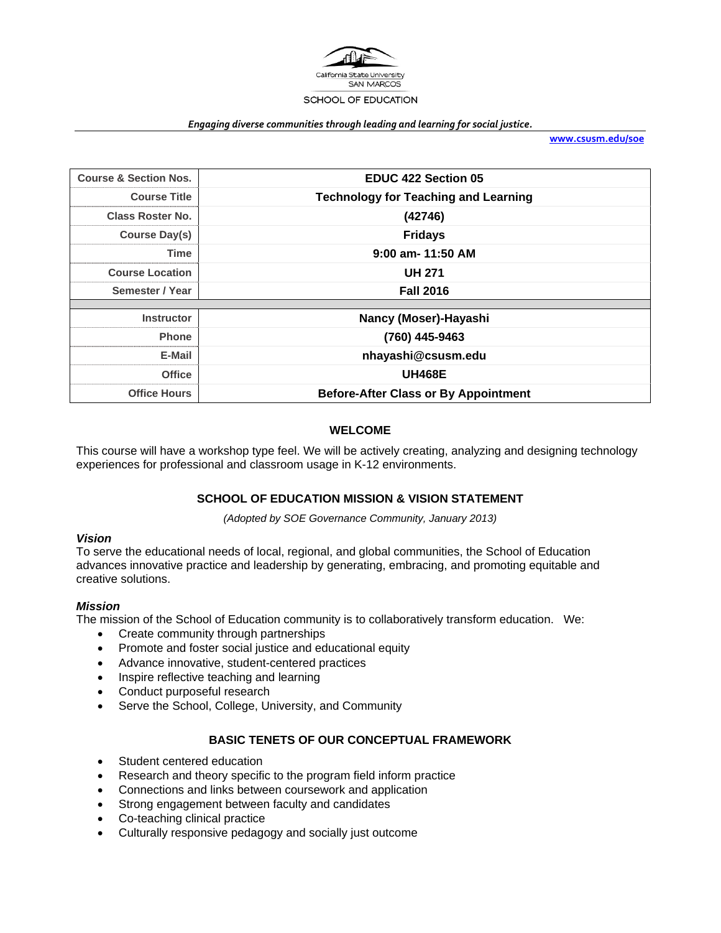

#### *Engaging diverse communities through leading and learning for social justice.*

**www.csusm.edu/soe**

| <b>Course &amp; Section Nos.</b> | <b>EDUC 422 Section 05</b>                  |
|----------------------------------|---------------------------------------------|
| <b>Course Title</b>              | <b>Technology for Teaching and Learning</b> |
| <b>Class Roster No.</b>          | (42746)                                     |
| <b>Course Day(s)</b>             | <b>Fridays</b>                              |
| <b>Time</b>                      | 9:00 am- 11:50 AM                           |
| <b>Course Location</b>           | <b>UH 271</b>                               |
| Semester / Year                  | <b>Fall 2016</b>                            |
|                                  |                                             |
| <b>Instructor</b>                | Nancy (Moser)-Hayashi                       |
| <b>Phone</b>                     | (760) 445-9463                              |
| E-Mail                           | nhayashi@csusm.edu                          |
| <b>Office</b>                    | <b>UH468E</b>                               |
| <b>Office Hours</b>              | <b>Before-After Class or By Appointment</b> |

# **WELCOME**

This course will have a workshop type feel. We will be actively creating, analyzing and designing technology experiences for professional and classroom usage in K-12 environments.

# **SCHOOL OF EDUCATION MISSION & VISION STATEMENT**

*(Adopted by SOE Governance Community, January 2013)* 

### *Vision*

To serve the educational needs of local, regional, and global communities, the School of Education advances innovative practice and leadership by generating, embracing, and promoting equitable and creative solutions.

### *Mission*

The mission of the School of Education community is to collaboratively transform education. We:

- Create community through partnerships
- Promote and foster social justice and educational equity
- Advance innovative, student-centered practices
- Inspire reflective teaching and learning
- Conduct purposeful research
- Serve the School, College, University, and Community

# **BASIC TENETS OF OUR CONCEPTUAL FRAMEWORK**

- Student centered education
- Research and theory specific to the program field inform practice
- Connections and links between coursework and application
- Strong engagement between faculty and candidates
- Co-teaching clinical practice
- Culturally responsive pedagogy and socially just outcome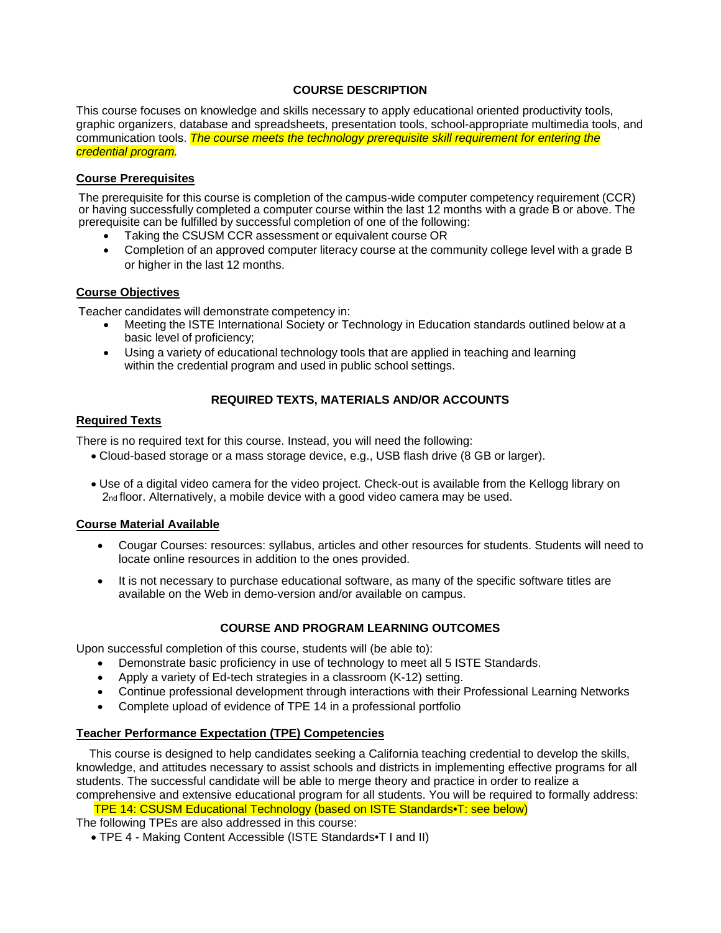# **COURSE DESCRIPTION**

This course focuses on knowledge and skills necessary to apply educational oriented productivity tools, graphic organizers, database and spreadsheets, presentation tools, school-appropriate multimedia tools, and communication tools. *The course meets the technology prerequisite skill requirement for entering the credential program.* 

# **Course Prerequisites**

The prerequisite for this course is completion of the campus-wide computer competency requirement (CCR) or having successfully completed a computer course within the last 12 months with a grade B or above. The prerequisite can be fulfilled by successful completion of one of the following:

- Taking the CSUSM CCR assessment or equivalent course OR
- Completion of an approved computer literacy course at the community college level with a grade B or higher in the last 12 months.

### **Course Objectives**

Teacher candidates will demonstrate competency in:

- Meeting the ISTE International Society or Technology in Education standards outlined below at a basic level of proficiency;
- Using a variety of educational technology tools that are applied in teaching and learning within the credential program and used in public school settings.

# **REQUIRED TEXTS, MATERIALS AND/OR ACCOUNTS**

## **Required Texts**

There is no required text for this course. Instead, you will need the following:

- Cloud-based storage or a mass storage device, e.g., USB flash drive (8 GB or larger).
- Use of a digital video camera for the video project. Check-out is available from the Kellogg library on 2nd floor. Alternatively, a mobile device with a good video camera may be used.

### **Course Material Available**

- Cougar Courses: resources: syllabus, articles and other resources for students. Students will need to locate online resources in addition to the ones provided.
- It is not necessary to purchase educational software, as many of the specific software titles are available on the Web in demo-version and/or available on campus.

# **COURSE AND PROGRAM LEARNING OUTCOMES**

Upon successful completion of this course, students will (be able to):

- Demonstrate basic proficiency in use of technology to meet all 5 ISTE Standards.
- Apply a variety of Ed-tech strategies in a classroom (K-12) setting.
- Continue professional development through interactions with their Professional Learning Networks
- Complete upload of evidence of TPE 14 in a professional portfolio

# **Teacher Performance Expectation (TPE) Competencies**

 This course is designed to help candidates seeking a California teaching credential to develop the skills, knowledge, and attitudes necessary to assist schools and districts in implementing effective programs for all students. The successful candidate will be able to merge theory and practice in order to realize a comprehensive and extensive educational program for all students. You will be required to formally address:

TPE 14: CSUSM Educational Technology (based on ISTE Standards•T: see below)

The following TPEs are also addressed in this course:

TPE 4 - Making Content Accessible (ISTE Standards•T I and II)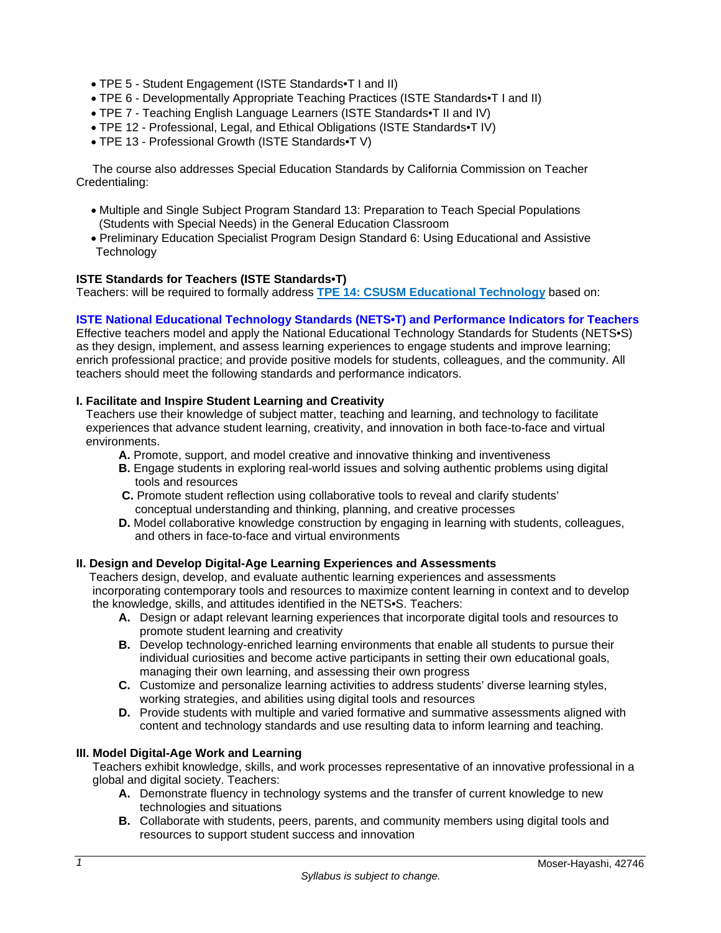- TPE 5 Student Engagement (ISTE Standards•T I and II)
- TPE 6 Developmentally Appropriate Teaching Practices (ISTE Standards•T I and II)
- TPE 7 Teaching English Language Learners (ISTE Standards•T II and IV)
- TPE 12 Professional, Legal, and Ethical Obligations (ISTE Standards•T IV)
- TPE 13 Professional Growth (ISTE Standards•T V)

 The course also addresses Special Education Standards by California Commission on Teacher Credentialing:

- Multiple and Single Subject Program Standard 13: Preparation to Teach Special Populations (Students with Special Needs) in the General Education Classroom
- Preliminary Education Specialist Program Design Standard 6: Using Educational and Assistive **Technology**

## **ISTE Standards for Teachers (ISTE Standards•T)**

Teachers: will be required to formally address **TPE 14: CSUSM Educational Technology** based on:

# **ISTE National Educational Technology Standards (NETS•T) and Performance Indicators for Teachers**

Effective teachers model and apply the National Educational Technology Standards for Students (NETS•S) as they design, implement, and assess learning experiences to engage students and improve learning; enrich professional practice; and provide positive models for students, colleagues, and the community. All teachers should meet the following standards and performance indicators.

### **I. Facilitate and Inspire Student Learning and Creativity**

 Teachers use their knowledge of subject matter, teaching and learning, and technology to facilitate experiences that advance student learning, creativity, and innovation in both face-to-face and virtual environments.

- **A.** Promote, support, and model creative and innovative thinking and inventiveness
- **B.** Engage students in exploring real-world issues and solving authentic problems using digital tools and resources
- **C.** Promote student reflection using collaborative tools to reveal and clarify students' conceptual understanding and thinking, planning, and creative processes
- **D.** Model collaborative knowledge construction by engaging in learning with students, colleagues, and others in face-to-face and virtual environments

### **II. Design and Develop Digital-Age Learning Experiences and Assessments**

 Teachers design, develop, and evaluate authentic learning experiences and assessments incorporating contemporary tools and resources to maximize content learning in context and to develop the knowledge, skills, and attitudes identified in the NETS•S. Teachers:

- **A.** Design or adapt relevant learning experiences that incorporate digital tools and resources to promote student learning and creativity
- **B.** Develop technology-enriched learning environments that enable all students to pursue their individual curiosities and become active participants in setting their own educational goals, managing their own learning, and assessing their own progress
- **C.** Customize and personalize learning activities to address students' diverse learning styles, working strategies, and abilities using digital tools and resources
- **D.** Provide students with multiple and varied formative and summative assessments aligned with content and technology standards and use resulting data to inform learning and teaching.

## **III. Model Digital-Age Work and Learning**

 Teachers exhibit knowledge, skills, and work processes representative of an innovative professional in a global and digital society. Teachers:

- **A.** Demonstrate fluency in technology systems and the transfer of current knowledge to new technologies and situations
- **B.** Collaborate with students, peers, parents, and community members using digital tools and resources to support student success and innovation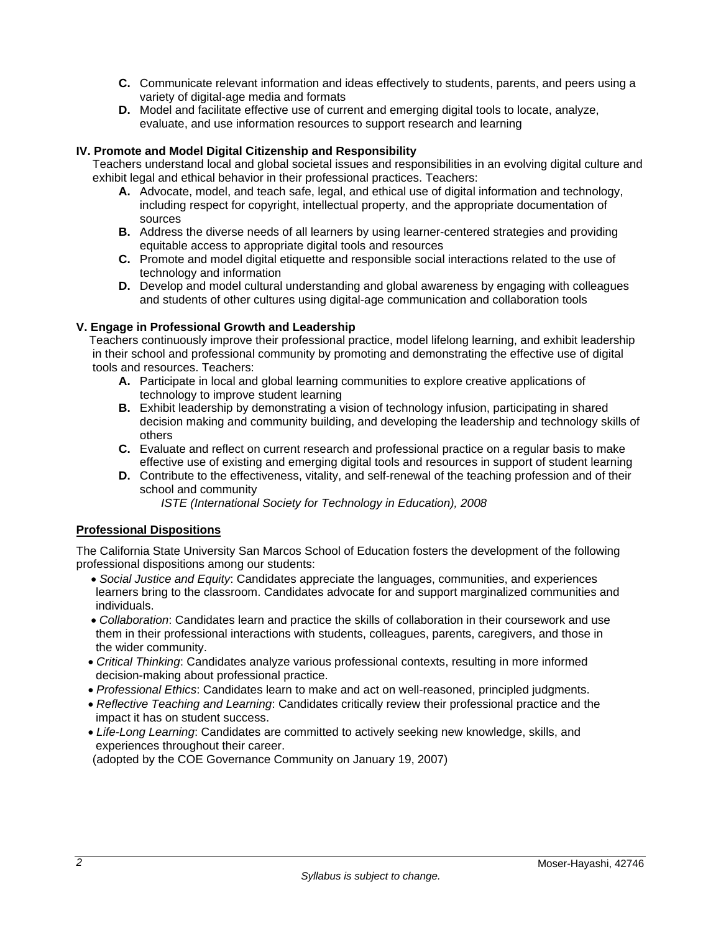- **C.** Communicate relevant information and ideas effectively to students, parents, and peers using a variety of digital-age media and formats
- **D.** Model and facilitate effective use of current and emerging digital tools to locate, analyze, evaluate, and use information resources to support research and learning

## **IV. Promote and Model Digital Citizenship and Responsibility**

 Teachers understand local and global societal issues and responsibilities in an evolving digital culture and exhibit legal and ethical behavior in their professional practices. Teachers:

- **A.** Advocate, model, and teach safe, legal, and ethical use of digital information and technology, including respect for copyright, intellectual property, and the appropriate documentation of sources
- **B.** Address the diverse needs of all learners by using learner-centered strategies and providing equitable access to appropriate digital tools and resources
- **C.** Promote and model digital etiquette and responsible social interactions related to the use of technology and information
- **D.** Develop and model cultural understanding and global awareness by engaging with colleagues and students of other cultures using digital-age communication and collaboration tools

## **V. Engage in Professional Growth and Leadership**

 Teachers continuously improve their professional practice, model lifelong learning, and exhibit leadership in their school and professional community by promoting and demonstrating the effective use of digital tools and resources. Teachers:

- **A.** Participate in local and global learning communities to explore creative applications of technology to improve student learning
- **B.** Exhibit leadership by demonstrating a vision of technology infusion, participating in shared decision making and community building, and developing the leadership and technology skills of others
- **C.** Evaluate and reflect on current research and professional practice on a regular basis to make effective use of existing and emerging digital tools and resources in support of student learning
- **D.** Contribute to the effectiveness, vitality, and self-renewal of the teaching profession and of their school and community

*ISTE (International Society for Technology in Education), 2008* 

# **Professional Dispositions**

The California State University San Marcos School of Education fosters the development of the following professional dispositions among our students:

- *Social Justice and Equity*: Candidates appreciate the languages, communities, and experiences learners bring to the classroom. Candidates advocate for and support marginalized communities and individuals.
- *Collaboration*: Candidates learn and practice the skills of collaboration in their coursework and use them in their professional interactions with students, colleagues, parents, caregivers, and those in the wider community.
- *Critical Thinking*: Candidates analyze various professional contexts, resulting in more informed decision-making about professional practice.
- *Professional Ethics*: Candidates learn to make and act on well-reasoned, principled judgments.
- *Reflective Teaching and Learning*: Candidates critically review their professional practice and the impact it has on student success.
- *Life-Long Learning*: Candidates are committed to actively seeking new knowledge, skills, and experiences throughout their career.

(adopted by the COE Governance Community on January 19, 2007)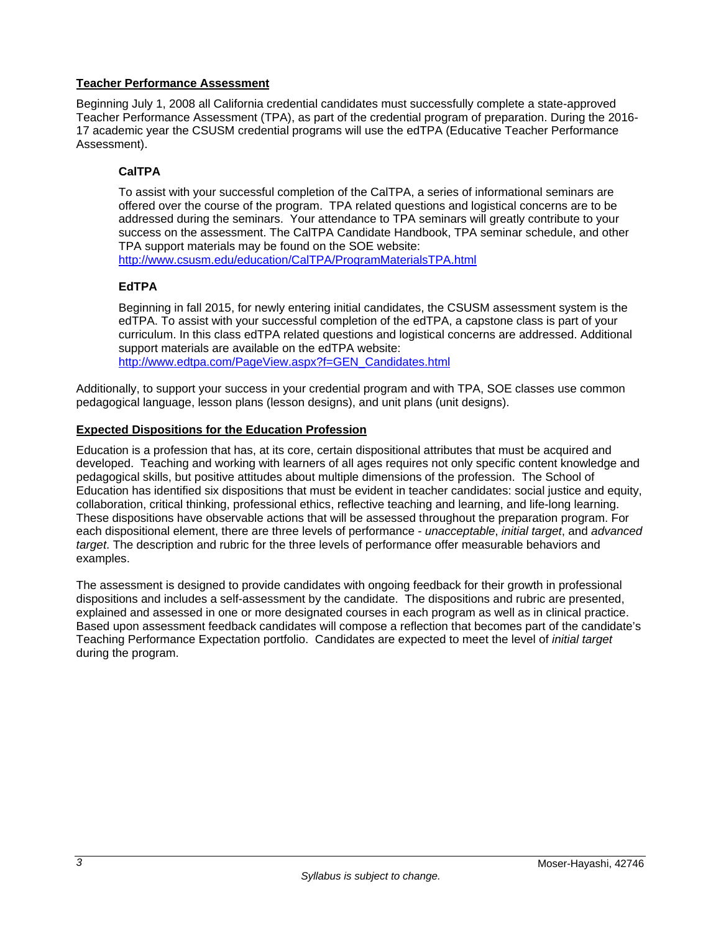# **Teacher Performance Assessment**

Beginning July 1, 2008 all California credential candidates must successfully complete a state-approved Teacher Performance Assessment (TPA), as part of the credential program of preparation. During the 2016- 17 academic year the CSUSM credential programs will use the edTPA (Educative Teacher Performance Assessment).

# **CalTPA**

To assist with your successful completion of the CalTPA, a series of informational seminars are offered over the course of the program. TPA related questions and logistical concerns are to be addressed during the seminars. Your attendance to TPA seminars will greatly contribute to your success on the assessment. The CalTPA Candidate Handbook, TPA seminar schedule, and other TPA support materials may be found on the SOE website: http://www.csusm.edu/education/CalTPA/ProgramMaterialsTPA.html

# **EdTPA**

Beginning in fall 2015, for newly entering initial candidates, the CSUSM assessment system is the edTPA. To assist with your successful completion of the edTPA, a capstone class is part of your curriculum. In this class edTPA related questions and logistical concerns are addressed. Additional support materials are available on the edTPA website: http://www.edtpa.com/PageView.aspx?f=GEN\_Candidates.html

Additionally, to support your success in your credential program and with TPA, SOE classes use common pedagogical language, lesson plans (lesson designs), and unit plans (unit designs).

# **Expected Dispositions for the Education Profession**

Education is a profession that has, at its core, certain dispositional attributes that must be acquired and developed. Teaching and working with learners of all ages requires not only specific content knowledge and pedagogical skills, but positive attitudes about multiple dimensions of the profession. The School of Education has identified six dispositions that must be evident in teacher candidates: social justice and equity, collaboration, critical thinking, professional ethics, reflective teaching and learning, and life-long learning. These dispositions have observable actions that will be assessed throughout the preparation program. For each dispositional element, there are three levels of performance - *unacceptable*, *initial target*, and *advanced target*. The description and rubric for the three levels of performance offer measurable behaviors and examples.

The assessment is designed to provide candidates with ongoing feedback for their growth in professional dispositions and includes a self-assessment by the candidate. The dispositions and rubric are presented, explained and assessed in one or more designated courses in each program as well as in clinical practice. Based upon assessment feedback candidates will compose a reflection that becomes part of the candidate's Teaching Performance Expectation portfolio. Candidates are expected to meet the level of *initial target* during the program.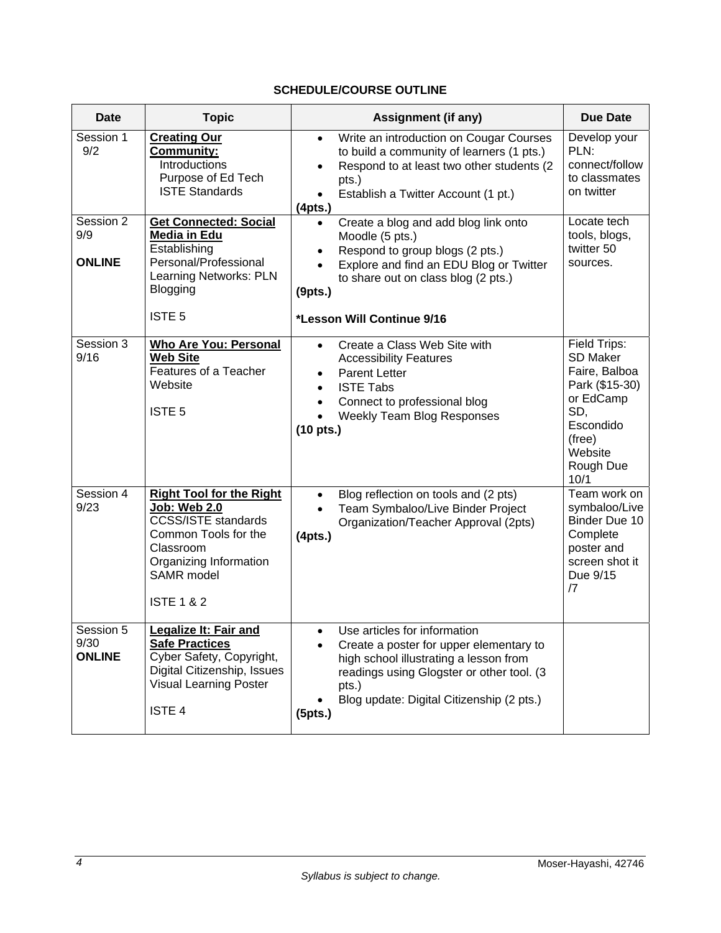# **SCHEDULE/COURSE OUTLINE**

| <b>Date</b>                        | <b>Topic</b>                                                                                                                                                                               | Assignment (if any)                                                                                                                                                                                                                               | <b>Due Date</b>                                                                                                                               |
|------------------------------------|--------------------------------------------------------------------------------------------------------------------------------------------------------------------------------------------|---------------------------------------------------------------------------------------------------------------------------------------------------------------------------------------------------------------------------------------------------|-----------------------------------------------------------------------------------------------------------------------------------------------|
| Session 1<br>9/2                   | <b>Creating Our</b><br>Community:<br>Introductions<br>Purpose of Ed Tech<br><b>ISTE Standards</b>                                                                                          | Write an introduction on Cougar Courses<br>$\bullet$<br>to build a community of learners (1 pts.)<br>Respond to at least two other students (2)<br>pts.)<br>Establish a Twitter Account (1 pt.)<br>(4pts.)                                        | Develop your<br>PLN:<br>connect/follow<br>to classmates<br>on twitter                                                                         |
| Session 2<br>9/9<br><b>ONLINE</b>  | <b>Get Connected: Social</b><br>Media in Edu<br>Establishing<br>Personal/Professional<br>Learning Networks: PLN<br><b>Blogging</b><br><b>ISTE 5</b>                                        | Create a blog and add blog link onto<br>Moodle (5 pts.)<br>Respond to group blogs (2 pts.)<br>Explore and find an EDU Blog or Twitter<br>to share out on class blog (2 pts.)<br>(9pts.)<br>*Lesson Will Continue 9/16                             | Locate tech<br>tools, blogs,<br>twitter 50<br>sources.                                                                                        |
| Session 3<br>9/16                  | <b>Who Are You: Personal</b><br><b>Web Site</b><br>Features of a Teacher<br>Website<br><b>ISTE 5</b>                                                                                       | Create a Class Web Site with<br>$\bullet$<br><b>Accessibility Features</b><br><b>Parent Letter</b><br>$\bullet$<br><b>ISTE Tabs</b><br>$\bullet$<br>Connect to professional blog<br>$\bullet$<br><b>Weekly Team Blog Responses</b><br>$(10$ pts.) | Field Trips:<br><b>SD Maker</b><br>Faire, Balboa<br>Park (\$15-30)<br>or EdCamp<br>SD,<br>Escondido<br>(free)<br>Website<br>Rough Due<br>10/1 |
| Session 4<br>9/23                  | <b>Right Tool for the Right</b><br>Job: Web 2.0<br><b>CCSS/ISTE standards</b><br>Common Tools for the<br>Classroom<br>Organizing Information<br><b>SAMR</b> model<br><b>ISTE 1 &amp; 2</b> | Blog reflection on tools and (2 pts)<br>$\bullet$<br>Team Symbaloo/Live Binder Project<br>$\bullet$<br>Organization/Teacher Approval (2pts)<br>(4pts.)                                                                                            | Team work on<br>symbaloo/Live<br>Binder Due 10<br>Complete<br>poster and<br>screen shot it<br>Due 9/15<br>$\sqrt{7}$                          |
| Session 5<br>9/30<br><b>ONLINE</b> | <b>Legalize It: Fair and</b><br><b>Safe Practices</b><br>Cyber Safety, Copyright,<br>Digital Citizenship, Issues<br><b>Visual Learning Poster</b><br><b>ISTE 4</b>                         | Use articles for information<br>Create a poster for upper elementary to<br>high school illustrating a lesson from<br>readings using Glogster or other tool. (3<br>pts.)<br>Blog update: Digital Citizenship (2 pts.)<br>(5pts.)                   |                                                                                                                                               |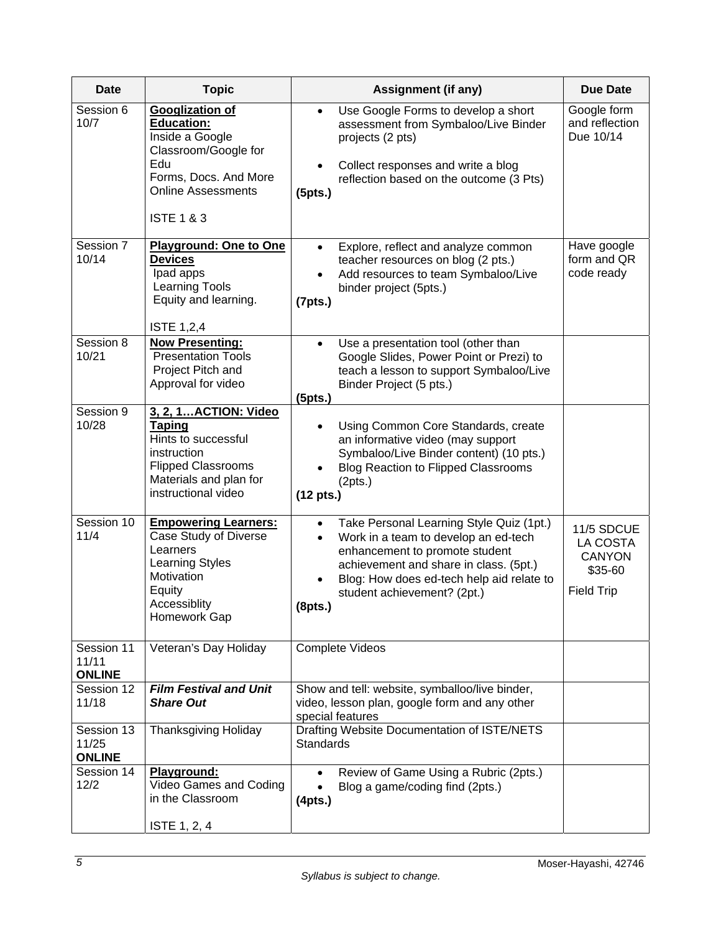| <b>Date</b>                          | <b>Topic</b>                                                                                                                                                                 | Assignment (if any)                                                                                                                                                                                                                                                           | <b>Due Date</b>                                                                |
|--------------------------------------|------------------------------------------------------------------------------------------------------------------------------------------------------------------------------|-------------------------------------------------------------------------------------------------------------------------------------------------------------------------------------------------------------------------------------------------------------------------------|--------------------------------------------------------------------------------|
| Session 6<br>10/7                    | <b>Googlization of</b><br><b>Education:</b><br>Inside a Google<br>Classroom/Google for<br>Edu<br>Forms, Docs. And More<br><b>Online Assessments</b><br><b>ISTE 1 &amp; 3</b> | Use Google Forms to develop a short<br>$\bullet$<br>assessment from Symbaloo/Live Binder<br>projects (2 pts)<br>Collect responses and write a blog<br>reflection based on the outcome (3 Pts)<br>(5pts.)                                                                      | Google form<br>and reflection<br>Due 10/14                                     |
| Session 7<br>10/14                   | <b>Playground: One to One</b><br><b>Devices</b><br>Ipad apps<br>Learning Tools<br>Equity and learning.<br><b>ISTE 1,2,4</b>                                                  | Explore, reflect and analyze common<br>$\bullet$<br>teacher resources on blog (2 pts.)<br>Add resources to team Symbaloo/Live<br>$\bullet$<br>binder project (5pts.)<br>(7pts.)                                                                                               | Have google<br>form and QR<br>code ready                                       |
| Session 8<br>10/21                   | <b>Now Presenting:</b><br><b>Presentation Tools</b><br>Project Pitch and<br>Approval for video                                                                               | Use a presentation tool (other than<br>Google Slides, Power Point or Prezi) to<br>teach a lesson to support Symbaloo/Live<br>Binder Project (5 pts.)<br>(5pts.)                                                                                                               |                                                                                |
| Session 9<br>10/28                   | 3, 2, 1 ACTION: Video<br>Taping<br>Hints to successful<br>instruction<br><b>Flipped Classrooms</b><br>Materials and plan for<br>instructional video                          | Using Common Core Standards, create<br>$\bullet$<br>an informative video (may support<br>Symbaloo/Live Binder content) (10 pts.)<br><b>Blog Reaction to Flipped Classrooms</b><br>(2pts.)<br>$(12 \text{ pts.})$                                                              |                                                                                |
| Session 10<br>11/4                   | <b>Empowering Learners:</b><br>Case Study of Diverse<br>Learners<br><b>Learning Styles</b><br>Motivation<br>Equity<br>Accessiblity<br>Homework Gap                           | Take Personal Learning Style Quiz (1pt.)<br>$\bullet$<br>Work in a team to develop an ed-tech<br>$\bullet$<br>enhancement to promote student<br>achievement and share in class. (5pt.)<br>Blog: How does ed-tech help aid relate to<br>student achievement? (2pt.)<br>(8pts.) | 11/5 SDCUE<br><b>LA COSTA</b><br><b>CANYON</b><br>\$35-60<br><b>Field Trip</b> |
| Session 11<br>11/11<br><b>ONLINE</b> | Veteran's Day Holiday                                                                                                                                                        | Complete Videos                                                                                                                                                                                                                                                               |                                                                                |
| Session 12<br>11/18                  | <b>Film Festival and Unit</b><br><b>Share Out</b>                                                                                                                            | Show and tell: website, symballoo/live binder,<br>video, lesson plan, google form and any other<br>special features                                                                                                                                                           |                                                                                |
| Session 13<br>11/25<br><b>ONLINE</b> | <b>Thanksgiving Holiday</b>                                                                                                                                                  | Drafting Website Documentation of ISTE/NETS<br><b>Standards</b>                                                                                                                                                                                                               |                                                                                |
| Session 14<br>12/2                   | Playground:<br>Video Games and Coding<br>in the Classroom<br>ISTE 1, 2, 4                                                                                                    | Review of Game Using a Rubric (2pts.)<br>$\bullet$<br>Blog a game/coding find (2pts.)<br>$\bullet$<br>(4pts.)                                                                                                                                                                 |                                                                                |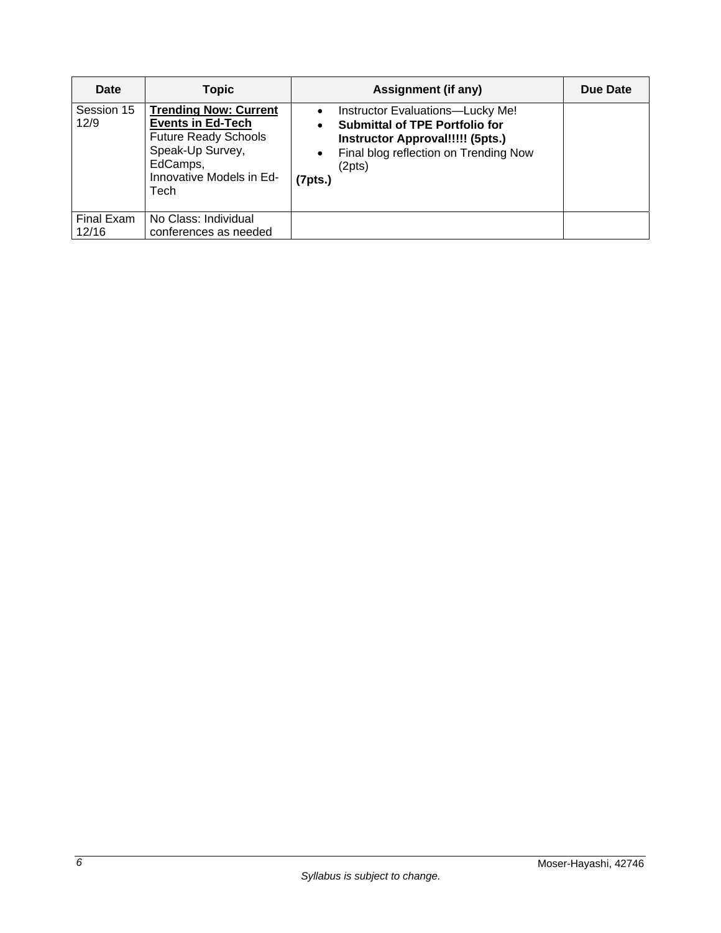| Date                | <b>Topic</b>                                                                                                                                                | <b>Assignment (if any)</b>                                                                                                                                                                                 | Due Date |
|---------------------|-------------------------------------------------------------------------------------------------------------------------------------------------------------|------------------------------------------------------------------------------------------------------------------------------------------------------------------------------------------------------------|----------|
| Session 15<br>12/9  | <b>Trending Now: Current</b><br><b>Events in Ed-Tech</b><br><b>Future Ready Schools</b><br>Speak-Up Survey,<br>EdCamps,<br>Innovative Models in Ed-<br>Tech | Instructor Evaluations-Lucky Me!<br>$\bullet$<br><b>Submittal of TPE Portfolio for</b><br>٠<br>Instructor Approval!!!!! (5pts.)<br>Final blog reflection on Trending Now<br>$\bullet$<br>(2pts)<br>(7pts.) |          |
| Final Exam<br>12/16 | No Class: Individual<br>conferences as needed                                                                                                               |                                                                                                                                                                                                            |          |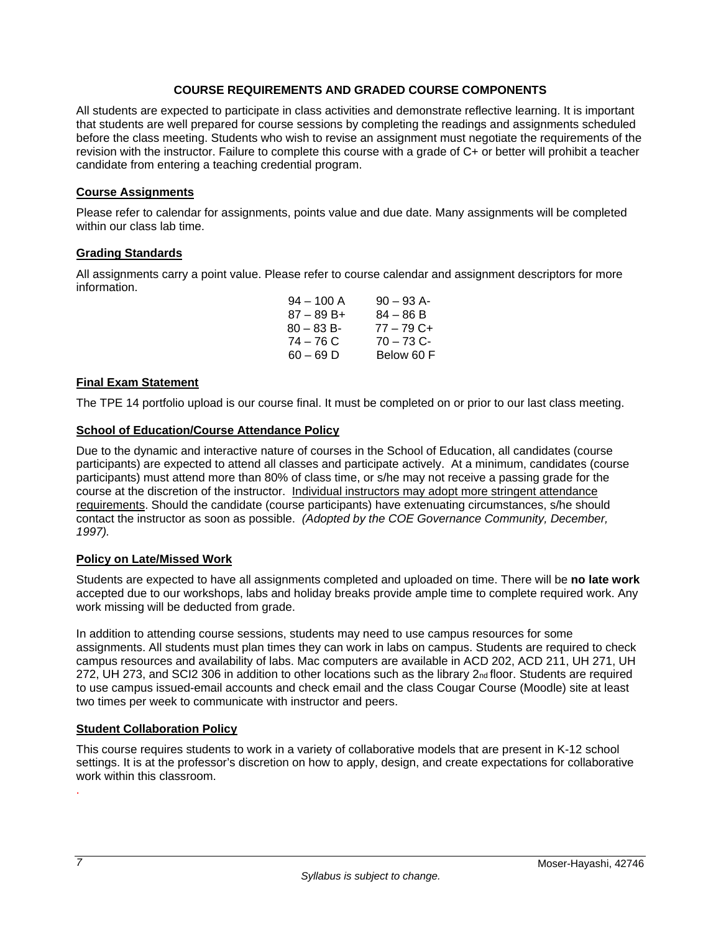# **COURSE REQUIREMENTS AND GRADED COURSE COMPONENTS**

All students are expected to participate in class activities and demonstrate reflective learning. It is important that students are well prepared for course sessions by completing the readings and assignments scheduled before the class meeting. Students who wish to revise an assignment must negotiate the requirements of the revision with the instructor. Failure to complete this course with a grade of C+ or better will prohibit a teacher candidate from entering a teaching credential program.

## **Course Assignments**

Please refer to calendar for assignments, points value and due date. Many assignments will be completed within our class lab time.

## **Grading Standards**

All assignments carry a point value. Please refer to course calendar and assignment descriptors for more information.  $\frac{100 \text{ A}}{25}$   $\frac{25 \text{ A}}{25}$ 

| 94 – 100 A    | $90 - 93$ A- |
|---------------|--------------|
| $87 - 89B +$  | 84 – 86 B    |
| $80 - 83 B$ - | $77 - 79$ C+ |
| $74 - 76$ C   | $70 - 73$ C- |
| 60 – 69 D     | Below 60 F   |

## **Final Exam Statement**

The TPE 14 portfolio upload is our course final. It must be completed on or prior to our last class meeting.

### **School of Education/Course Attendance Policy**

Due to the dynamic and interactive nature of courses in the School of Education, all candidates (course participants) are expected to attend all classes and participate actively. At a minimum, candidates (course participants) must attend more than 80% of class time, or s/he may not receive a passing grade for the course at the discretion of the instructor. Individual instructors may adopt more stringent attendance requirements. Should the candidate (course participants) have extenuating circumstances, s/he should contact the instructor as soon as possible. *(Adopted by the COE Governance Community, December, 1997).*

### **Policy on Late/Missed Work**

Students are expected to have all assignments completed and uploaded on time. There will be **no late work** accepted due to our workshops, labs and holiday breaks provide ample time to complete required work. Any work missing will be deducted from grade.

In addition to attending course sessions, students may need to use campus resources for some assignments. All students must plan times they can work in labs on campus. Students are required to check campus resources and availability of labs. Mac computers are available in ACD 202, ACD 211, UH 271, UH 272, UH 273, and SCI2 306 in addition to other locations such as the library 2nd floor. Students are required to use campus issued-email accounts and check email and the class Cougar Course (Moodle) site at least two times per week to communicate with instructor and peers.

## **Student Collaboration Policy**

This course requires students to work in a variety of collaborative models that are present in K-12 school settings. It is at the professor's discretion on how to apply, design, and create expectations for collaborative work within this classroom.

.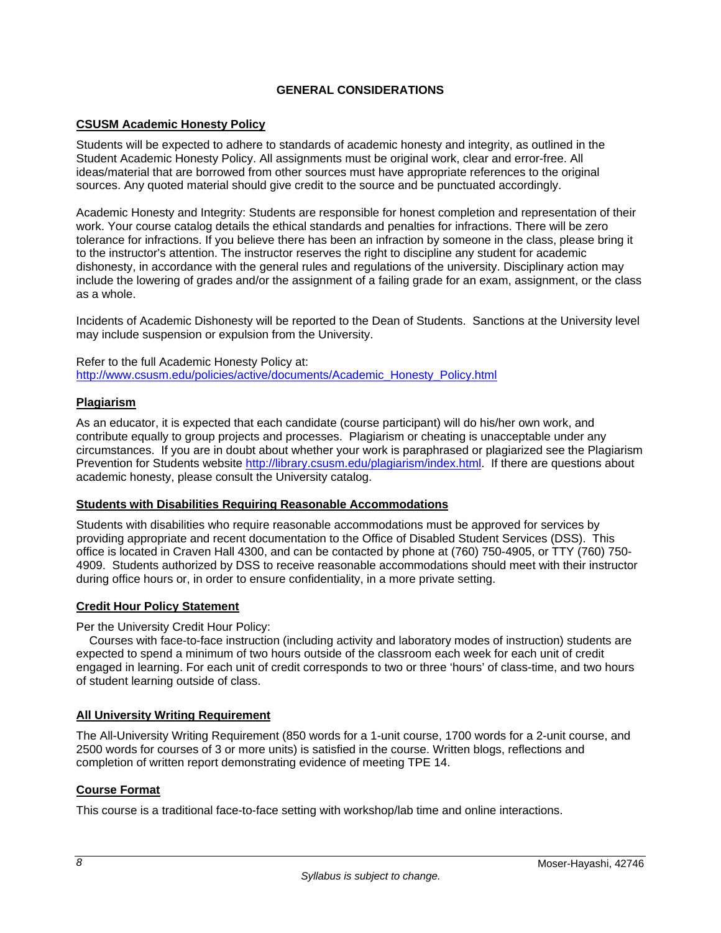# **GENERAL CONSIDERATIONS**

## **CSUSM Academic Honesty Policy**

Students will be expected to adhere to standards of academic honesty and integrity, as outlined in the Student Academic Honesty Policy. All assignments must be original work, clear and error-free. All ideas/material that are borrowed from other sources must have appropriate references to the original sources. Any quoted material should give credit to the source and be punctuated accordingly.

Academic Honesty and Integrity: Students are responsible for honest completion and representation of their work. Your course catalog details the ethical standards and penalties for infractions. There will be zero tolerance for infractions. If you believe there has been an infraction by someone in the class, please bring it to the instructor's attention. The instructor reserves the right to discipline any student for academic dishonesty, in accordance with the general rules and regulations of the university. Disciplinary action may include the lowering of grades and/or the assignment of a failing grade for an exam, assignment, or the class as a whole.

Incidents of Academic Dishonesty will be reported to the Dean of Students. Sanctions at the University level may include suspension or expulsion from the University.

Refer to the full Academic Honesty Policy at: http://www.csusm.edu/policies/active/documents/Academic\_Honesty\_Policy.html

### **Plagiarism**

As an educator, it is expected that each candidate (course participant) will do his/her own work, and contribute equally to group projects and processes. Plagiarism or cheating is unacceptable under any circumstances. If you are in doubt about whether your work is paraphrased or plagiarized see the Plagiarism Prevention for Students website http://library.csusm.edu/plagiarism/index.html. If there are questions about academic honesty, please consult the University catalog.

### **Students with Disabilities Requiring Reasonable Accommodations**

Students with disabilities who require reasonable accommodations must be approved for services by providing appropriate and recent documentation to the Office of Disabled Student Services (DSS). This office is located in Craven Hall 4300, and can be contacted by phone at (760) 750-4905, or TTY (760) 750- 4909. Students authorized by DSS to receive reasonable accommodations should meet with their instructor during office hours or, in order to ensure confidentiality, in a more private setting.

### **Credit Hour Policy Statement**

Per the University Credit Hour Policy:

 Courses with face-to-face instruction (including activity and laboratory modes of instruction) students are expected to spend a minimum of two hours outside of the classroom each week for each unit of credit engaged in learning. For each unit of credit corresponds to two or three 'hours' of class-time, and two hours of student learning outside of class.

### **All University Writing Requirement**

The All-University Writing Requirement (850 words for a 1-unit course, 1700 words for a 2-unit course, and 2500 words for courses of 3 or more units) is satisfied in the course. Written blogs, reflections and completion of written report demonstrating evidence of meeting TPE 14.

# **Course Format**

This course is a traditional face-to-face setting with workshop/lab time and online interactions.